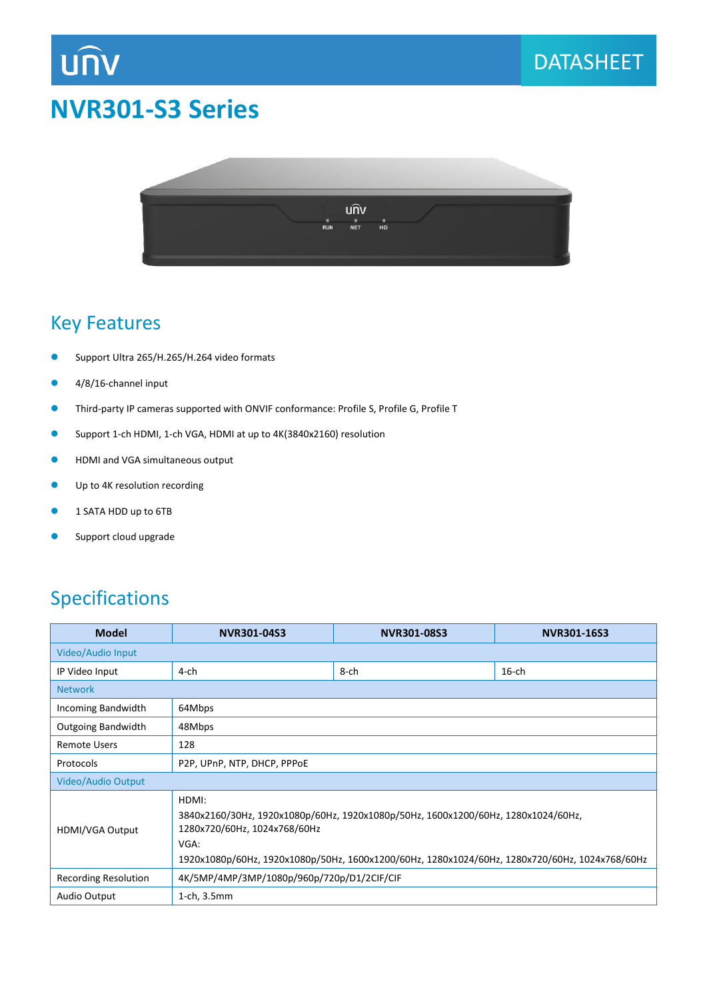

# นกิง  $RUN$  $\frac{1}{NET}$  $H<sup>II</sup>$

#### Key Features

- Support Ultra 265/H.265/H.264 video formats
- 4/8/16-channel input
- Third-party IP cameras supported with ONVIF conformance: Profile S, Profile G, Profile T
- Support 1-ch HDMI, 1-ch VGA, HDMI at up to 4K(3840x2160) resolution
- **•** HDMI and VGA simultaneous output
- **O** Up to 4K resolution recording
- **1 SATA HDD up to 6TB**
- **Support cloud upgrade**

### Specifications

| <b>Model</b>              | NVR301-04S3                                                                                                                                                                                                                          | NVR301-08S3 | NVR301-16S3 |  |  |  |  |
|---------------------------|--------------------------------------------------------------------------------------------------------------------------------------------------------------------------------------------------------------------------------------|-------------|-------------|--|--|--|--|
| Video/Audio Input         |                                                                                                                                                                                                                                      |             |             |  |  |  |  |
| IP Video Input            | 4-ch                                                                                                                                                                                                                                 | 8-ch        | $16$ -ch    |  |  |  |  |
| <b>Network</b>            |                                                                                                                                                                                                                                      |             |             |  |  |  |  |
| Incoming Bandwidth        | 64Mbps                                                                                                                                                                                                                               |             |             |  |  |  |  |
| <b>Outgoing Bandwidth</b> | 48Mbps                                                                                                                                                                                                                               |             |             |  |  |  |  |
| <b>Remote Users</b>       | 128                                                                                                                                                                                                                                  |             |             |  |  |  |  |
| Protocols                 | P2P, UPnP, NTP, DHCP, PPPoE                                                                                                                                                                                                          |             |             |  |  |  |  |
| Video/Audio Output        |                                                                                                                                                                                                                                      |             |             |  |  |  |  |
| HDMI/VGA Output           | HDMI:<br>3840x2160/30Hz, 1920x1080p/60Hz, 1920x1080p/50Hz, 1600x1200/60Hz, 1280x1024/60Hz,<br>1280x720/60Hz, 1024x768/60Hz<br>VGA:<br>1920x1080p/60Hz, 1920x1080p/50Hz, 1600x1200/60Hz, 1280x1024/60Hz, 1280x720/60Hz, 1024x768/60Hz |             |             |  |  |  |  |
| Recording Resolution      | 4K/5MP/4MP/3MP/1080p/960p/720p/D1/2CIF/CIF                                                                                                                                                                                           |             |             |  |  |  |  |
| Audio Output              | 1-ch, 3.5mm                                                                                                                                                                                                                          |             |             |  |  |  |  |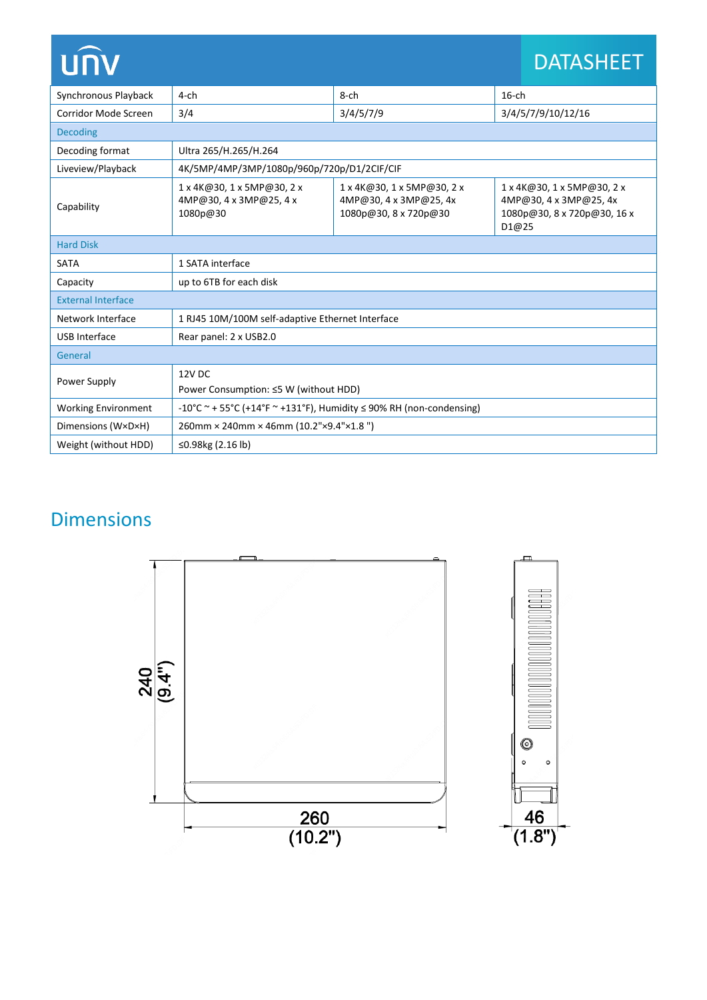| <b>UNV</b>                 |                                                                          |                                                                               |                    | <b>DATASHEET</b>                                                                    |  |  |  |
|----------------------------|--------------------------------------------------------------------------|-------------------------------------------------------------------------------|--------------------|-------------------------------------------------------------------------------------|--|--|--|
| Synchronous Playback       | $4$ -ch                                                                  | 8-ch                                                                          | $16$ -ch           |                                                                                     |  |  |  |
| Corridor Mode Screen       | 3/4                                                                      | 3/4/5/7/9                                                                     | 3/4/5/7/9/10/12/16 |                                                                                     |  |  |  |
| <b>Decoding</b>            |                                                                          |                                                                               |                    |                                                                                     |  |  |  |
| Decoding format            | Ultra 265/H.265/H.264                                                    |                                                                               |                    |                                                                                     |  |  |  |
| Liveview/Playback          | 4K/5MP/4MP/3MP/1080p/960p/720p/D1/2CIF/CIF                               |                                                                               |                    |                                                                                     |  |  |  |
| Capability                 | 1 x 4K@30, 1 x 5MP@30, 2 x<br>4MP@30, 4 x 3MP@25, 4 x<br>1080p@30        | 1 x 4K@30, 1 x 5MP@30, 2 x<br>4MP@30, 4 x 3MP@25, 4x<br>1080p@30, 8 x 720p@30 | D1@25              | 1 x 4K@30, 1 x 5MP@30, 2 x<br>4MP@30, 4 x 3MP@25, 4x<br>1080p@30, 8 x 720p@30, 16 x |  |  |  |
| <b>Hard Disk</b>           |                                                                          |                                                                               |                    |                                                                                     |  |  |  |
| <b>SATA</b>                | 1 SATA interface                                                         |                                                                               |                    |                                                                                     |  |  |  |
| Capacity                   | up to 6TB for each disk                                                  |                                                                               |                    |                                                                                     |  |  |  |
| <b>External Interface</b>  |                                                                          |                                                                               |                    |                                                                                     |  |  |  |
| Network Interface          | 1 RJ45 10M/100M self-adaptive Ethernet Interface                         |                                                                               |                    |                                                                                     |  |  |  |
| <b>USB</b> Interface       | Rear panel: 2 x USB2.0                                                   |                                                                               |                    |                                                                                     |  |  |  |
| General                    |                                                                          |                                                                               |                    |                                                                                     |  |  |  |
| Power Supply               | 12V DC<br>Power Consumption: ≤5 W (without HDD)                          |                                                                               |                    |                                                                                     |  |  |  |
| <b>Working Environment</b> | -10°C ~ + 55°C (+14°F ~ +131°F), Humidity $\leq$ 90% RH (non-condensing) |                                                                               |                    |                                                                                     |  |  |  |
| Dimensions (W×D×H)         | 260mm × 240mm × 46mm (10.2"×9.4"×1.8")                                   |                                                                               |                    |                                                                                     |  |  |  |
| Weight (without HDD)       | ≤0.98 $kg(2.16 lb)$                                                      |                                                                               |                    |                                                                                     |  |  |  |

# Dimensions